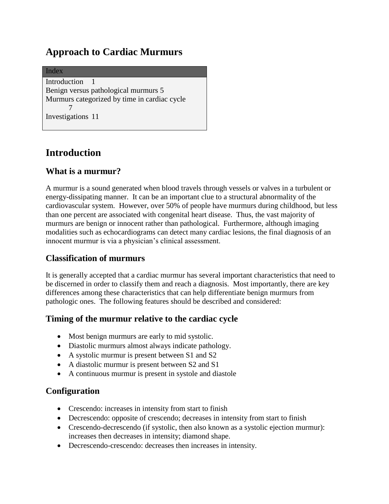# **Approach to Cardiac Murmurs**

Index [Introduction](#page-0-0) 1 [Benign versus pathological murmurs](#page-4-0) 5 [Murmurs categorized by time in cardiac cycle](#page-6-0) [7](#page-6-0) [Investigations](#page-10-0) 11

# <span id="page-0-0"></span>**Introduction**

## **What is a murmur?**

A murmur is a sound generated when blood travels through vessels or valves in a turbulent or energy-dissipating manner. It can be an important clue to a structural abnormality of the cardiovascular system. However, over 50% of people have murmurs during childhood, but less than one percent are associated with congenital heart disease. Thus, the vast majority of murmurs are benign or innocent rather than pathological. Furthermore, although imaging modalities such as echocardiograms can detect many cardiac lesions, the final diagnosis of an innocent murmur is via a physician's clinical assessment.

# **Classification of murmurs**

It is generally accepted that a cardiac murmur has several important characteristics that need to be discerned in order to classify them and reach a diagnosis. Most importantly, there are key differences among these characteristics that can help differentiate benign murmurs from pathologic ones. The following features should be described and considered:

### **Timing of the murmur relative to the cardiac cycle**

- Most benign murmurs are early to mid systolic.
- Diastolic murmurs almost always indicate pathology.
- A systolic murmur is present between S1 and S2
- A diastolic murmur is present between S2 and S1
- A continuous murmur is present in systole and diastole

# **Configuration**

- Crescendo: increases in intensity from start to finish
- Decrescendo: opposite of crescendo; decreases in intensity from start to finish
- Crescendo-decrescendo (if systolic, then also known as a systolic ejection murmur): increases then decreases in intensity; diamond shape.
- Decrescendo-crescendo: decreases then increases in intensity.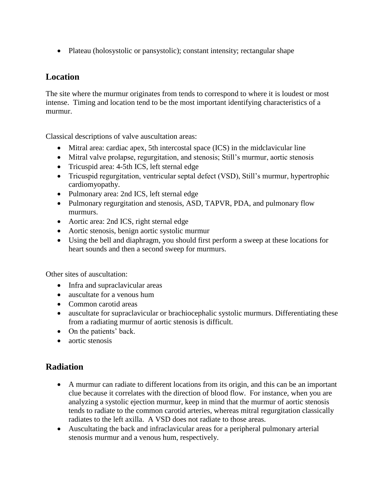• Plateau (holosystolic or pansystolic); constant intensity; rectangular shape

### **Location**

The site where the murmur originates from tends to correspond to where it is loudest or most intense. Timing and location tend to be the most important identifying characteristics of a murmur.

Classical descriptions of valve auscultation areas:

- Mitral area: cardiac apex, 5th intercostal space (ICS) in the midclavicular line
- Mitral valve prolapse, regurgitation, and stenosis; Still's murmur, aortic stenosis
- Tricuspid area: 4-5th ICS, left sternal edge
- Tricuspid regurgitation, ventricular septal defect (VSD), Still's murmur, hypertrophic cardiomyopathy.
- Pulmonary area: 2nd ICS, left sternal edge
- Pulmonary regurgitation and stenosis, ASD, TAPVR, PDA, and pulmonary flow murmurs.
- Aortic area: 2nd ICS, right sternal edge
- Aortic stenosis, benign aortic systolic murmur
- Using the bell and diaphragm, you should first perform a sweep at these locations for heart sounds and then a second sweep for murmurs.

Other sites of auscultation:

- Infra and supraclavicular areas
- auscultate for a venous hum
- Common carotid areas
- auscultate for supraclavicular or brachiocephalic systolic murmurs. Differentiating these from a radiating murmur of aortic stenosis is difficult.
- On the patients' back.
- aortic stenosis

# **Radiation**

- A murmur can radiate to different locations from its origin, and this can be an important clue because it correlates with the direction of blood flow. For instance, when you are analyzing a systolic ejection murmur, keep in mind that the murmur of aortic stenosis tends to radiate to the common carotid arteries, whereas mitral regurgitation classically radiates to the left axilla. A VSD does not radiate to those areas.
- Auscultating the back and infraclavicular areas for a peripheral pulmonary arterial stenosis murmur and a venous hum, respectively.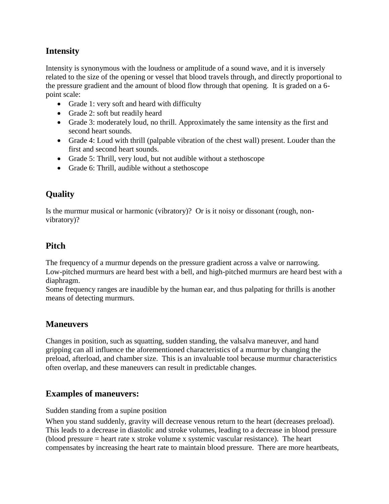# **Intensity**

Intensity is synonymous with the loudness or amplitude of a sound wave, and it is inversely related to the size of the opening or vessel that blood travels through, and directly proportional to the pressure gradient and the amount of blood flow through that opening. It is graded on a 6 point scale:

- Grade 1: very soft and heard with difficulty
- Grade 2: soft but readily heard
- Grade 3: moderately loud, no thrill. Approximately the same intensity as the first and second heart sounds.
- Grade 4: Loud with thrill (palpable vibration of the chest wall) present. Louder than the first and second heart sounds.
- Grade 5: Thrill, very loud, but not audible without a stethoscope
- Grade 6: Thrill, audible without a stethoscope

# **Quality**

Is the murmur musical or harmonic (vibratory)? Or is it noisy or dissonant (rough, nonvibratory)?

# **Pitch**

The frequency of a murmur depends on the pressure gradient across a valve or narrowing. Low-pitched murmurs are heard best with a bell, and high-pitched murmurs are heard best with a diaphragm.

Some frequency ranges are inaudible by the human ear, and thus palpating for thrills is another means of detecting murmurs.

### **Maneuvers**

Changes in position, such as squatting, sudden standing, the valsalva maneuver, and hand gripping can all influence the aforementioned characteristics of a murmur by changing the preload, afterload, and chamber size. This is an invaluable tool because murmur characteristics often overlap, and these maneuvers can result in predictable changes.

### **Examples of maneuvers:**

Sudden standing from a supine position

When you stand suddenly, gravity will decrease venous return to the heart (decreases preload). This leads to a decrease in diastolic and stroke volumes, leading to a decrease in blood pressure (blood pressure = heart rate x stroke volume x systemic vascular resistance). The heart compensates by increasing the heart rate to maintain blood pressure. There are more heartbeats,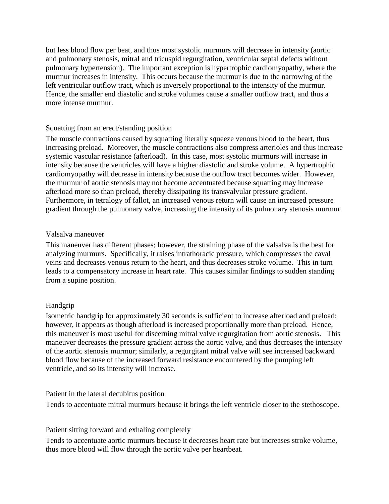but less blood flow per beat, and thus most systolic murmurs will decrease in intensity (aortic and pulmonary stenosis, mitral and tricuspid regurgitation, ventricular septal defects without pulmonary hypertension). The important exception is hypertrophic cardiomyopathy, where the murmur increases in intensity. This occurs because the murmur is due to the narrowing of the left ventricular outflow tract, which is inversely proportional to the intensity of the murmur. Hence, the smaller end diastolic and stroke volumes cause a smaller outflow tract, and thus a more intense murmur.

#### Squatting from an erect/standing position

The muscle contractions caused by squatting literally squeeze venous blood to the heart, thus increasing preload. Moreover, the muscle contractions also compress arterioles and thus increase systemic vascular resistance (afterload). In this case, most systolic murmurs will increase in intensity because the ventricles will have a higher diastolic and stroke volume. A hypertrophic cardiomyopathy will decrease in intensity because the outflow tract becomes wider. However, the murmur of aortic stenosis may not become accentuated because squatting may increase afterload more so than preload, thereby dissipating its transvalvular pressure gradient. Furthermore, in tetralogy of fallot, an increased venous return will cause an increased pressure gradient through the pulmonary valve, increasing the intensity of its pulmonary stenosis murmur.

#### Valsalva maneuver

This maneuver has different phases; however, the straining phase of the valsalva is the best for analyzing murmurs. Specifically, it raises intrathoracic pressure, which compresses the caval veins and decreases venous return to the heart, and thus decreases stroke volume. This in turn leads to a compensatory increase in heart rate. This causes similar findings to sudden standing from a supine position.

#### Handgrip

Isometric handgrip for approximately 30 seconds is sufficient to increase afterload and preload; however, it appears as though afterload is increased proportionally more than preload. Hence, this maneuver is most useful for discerning mitral valve regurgitation from aortic stenosis. This maneuver decreases the pressure gradient across the aortic valve, and thus decreases the intensity of the aortic stenosis murmur; similarly, a regurgitant mitral valve will see increased backward blood flow because of the increased forward resistance encountered by the pumping left ventricle, and so its intensity will increase.

Patient in the lateral decubitus position

Tends to accentuate mitral murmurs because it brings the left ventricle closer to the stethoscope.

#### Patient sitting forward and exhaling completely

Tends to accentuate aortic murmurs because it decreases heart rate but increases stroke volume, thus more blood will flow through the aortic valve per heartbeat.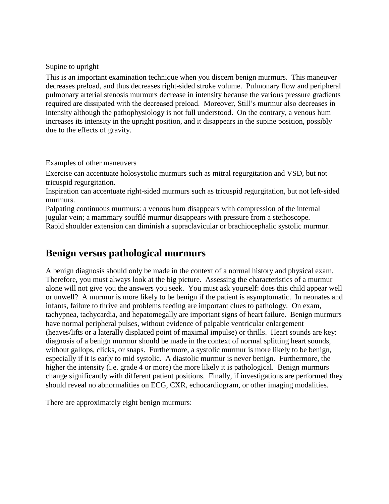#### Supine to upright

This is an important examination technique when you discern benign murmurs. This maneuver decreases preload, and thus decreases right-sided stroke volume. Pulmonary flow and peripheral pulmonary arterial stenosis murmurs decrease in intensity because the various pressure gradients required are dissipated with the decreased preload. Moreover, Still's murmur also decreases in intensity although the pathophysiology is not full understood. On the contrary, a venous hum increases its intensity in the upright position, and it disappears in the supine position, possibly due to the effects of gravity.

#### Examples of other maneuvers

Exercise can accentuate holosystolic murmurs such as mitral regurgitation and VSD, but not tricuspid regurgitation.

Inspiration can accentuate right-sided murmurs such as tricuspid regurgitation, but not left-sided murmurs.

Palpating continuous murmurs: a venous hum disappears with compression of the internal jugular vein; a mammary soufflé murmur disappears with pressure from a stethoscope. Rapid shoulder extension can diminish a supraclavicular or brachiocephalic systolic murmur.

# <span id="page-4-0"></span>**Benign versus pathological murmurs**

A benign diagnosis should only be made in the context of a normal history and physical exam. Therefore, you must always look at the big picture. Assessing the characteristics of a murmur alone will not give you the answers you seek. You must ask yourself: does this child appear well or unwell? A murmur is more likely to be benign if the patient is asymptomatic. In neonates and infants, failure to thrive and problems feeding are important clues to pathology. On exam, tachypnea, tachycardia, and hepatomegally are important signs of heart failure. Benign murmurs have normal peripheral pulses, without evidence of palpable ventricular enlargement (heaves/lifts or a laterally displaced point of maximal impulse) or thrills. Heart sounds are key: diagnosis of a benign murmur should be made in the context of normal splitting heart sounds, without gallops, clicks, or snaps. Furthermore, a systolic murmur is more likely to be benign, especially if it is early to mid systolic. A diastolic murmur is never benign. Furthermore, the higher the intensity (i.e. grade 4 or more) the more likely it is pathological. Benign murmurs change significantly with different patient positions. Finally, if investigations are performed they should reveal no abnormalities on ECG, CXR, echocardiogram, or other imaging modalities.

There are approximately eight benign murmurs: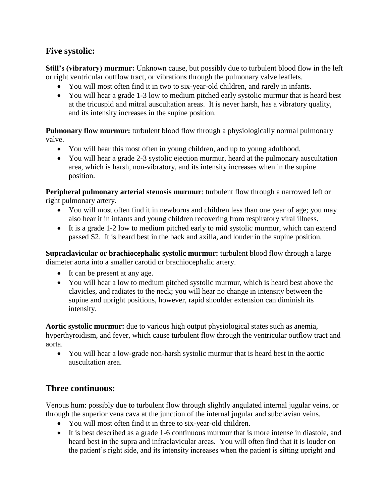## **Five systolic:**

**Still's (vibratory) murmur:** Unknown cause, but possibly due to turbulent blood flow in the left or right ventricular outflow tract, or vibrations through the pulmonary valve leaflets.

- You will most often find it in two to six-year-old children, and rarely in infants.
- You will hear a grade 1-3 low to medium pitched early systolic murmur that is heard best at the tricuspid and mitral auscultation areas. It is never harsh, has a vibratory quality, and its intensity increases in the supine position.

**Pulmonary flow murmur:** turbulent blood flow through a physiologically normal pulmonary valve.

- You will hear this most often in young children, and up to young adulthood.
- You will hear a grade 2-3 systolic ejection murmur, heard at the pulmonary auscultation area, which is harsh, non-vibratory, and its intensity increases when in the supine position.

**Peripheral pulmonary arterial stenosis murmur**: turbulent flow through a narrowed left or right pulmonary artery.

- You will most often find it in newborns and children less than one year of age; you may also hear it in infants and young children recovering from respiratory viral illness.
- It is a grade 1-2 low to medium pitched early to mid systolic murmur, which can extend passed S2. It is heard best in the back and axilla, and louder in the supine position.

**Supraclavicular or brachiocephalic systolic murmur:** turbulent blood flow through a large diameter aorta into a smaller carotid or brachiocephalic artery.

- It can be present at any age.
- You will hear a low to medium pitched systolic murmur, which is heard best above the clavicles, and radiates to the neck; you will hear no change in intensity between the supine and upright positions, however, rapid shoulder extension can diminish its intensity.

**Aortic systolic murmur:** due to various high output physiological states such as anemia, hyperthyroidism, and fever, which cause turbulent flow through the ventricular outflow tract and aorta.

 You will hear a low-grade non-harsh systolic murmur that is heard best in the aortic auscultation area.

# **Three continuous:**

Venous hum: possibly due to turbulent flow through slightly angulated internal jugular veins, or through the superior vena cava at the junction of the internal jugular and subclavian veins.

- You will most often find it in three to six-year-old children.
- It is best described as a grade 1-6 continuous murmur that is more intense in diastole, and heard best in the supra and infraclavicular areas. You will often find that it is louder on the patient's right side, and its intensity increases when the patient is sitting upright and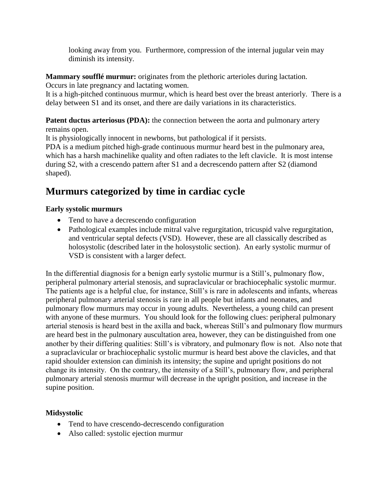looking away from you. Furthermore, compression of the internal jugular vein may diminish its intensity.

**Mammary soufflé murmur:** originates from the plethoric arterioles during lactation.

Occurs in late pregnancy and lactating women.

It is a high-pitched continuous murmur, which is heard best over the breast anteriorly. There is a delay between S1 and its onset, and there are daily variations in its characteristics.

**Patent ductus arteriosus (PDA):** the connection between the aorta and pulmonary artery remains open.

It is physiologically innocent in newborns, but pathological if it persists.

PDA is a medium pitched high-grade continuous murmur heard best in the pulmonary area, which has a harsh machinelike quality and often radiates to the left clavicle. It is most intense during S2, with a crescendo pattern after S1 and a decrescendo pattern after S2 (diamond shaped).

# <span id="page-6-0"></span>**Murmurs categorized by time in cardiac cycle**

# **Early systolic murmurs**

- Tend to have a decrescendo configuration
- Pathological examples include mitral valve regurgitation, tricuspid valve regurgitation, and ventricular septal defects (VSD). However, these are all classically described as holosystolic (described later in the holosystolic section). An early systolic murmur of VSD is consistent with a larger defect.

In the differential diagnosis for a benign early systolic murmur is a Still's, pulmonary flow, peripheral pulmonary arterial stenosis, and supraclavicular or brachiocephalic systolic murmur. The patients age is a helpful clue, for instance, Still's is rare in adolescents and infants, whereas peripheral pulmonary arterial stenosis is rare in all people but infants and neonates, and pulmonary flow murmurs may occur in young adults. Nevertheless, a young child can present with anyone of these murmurs. You should look for the following clues: peripheral pulmonary arterial stenosis is heard best in the axilla and back, whereas Still's and pulmonary flow murmurs are heard best in the pulmonary auscultation area, however, they can be distinguished from one another by their differing qualities: Still's is vibratory, and pulmonary flow is not. Also note that a supraclavicular or brachiocephalic systolic murmur is heard best above the clavicles, and that rapid shoulder extension can diminish its intensity; the supine and upright positions do not change its intensity. On the contrary, the intensity of a Still's, pulmonary flow, and peripheral pulmonary arterial stenosis murmur will decrease in the upright position, and increase in the supine position.

# **Midsystolic**

- Tend to have crescendo-decrescendo configuration
- Also called: systolic ejection murmur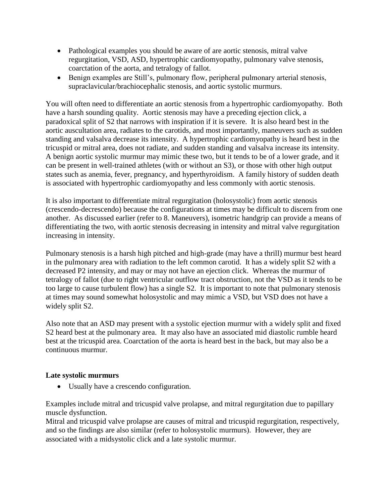- Pathological examples you should be aware of are aortic stenosis, mitral valve regurgitation, VSD, ASD, hypertrophic cardiomyopathy, pulmonary valve stenosis, coarctation of the aorta, and tetralogy of fallot.
- Benign examples are Still's, pulmonary flow, peripheral pulmonary arterial stenosis, supraclavicular/brachiocephalic stenosis, and aortic systolic murmurs.

You will often need to differentiate an aortic stenosis from a hypertrophic cardiomyopathy. Both have a harsh sounding quality. Aortic stenosis may have a preceding ejection click, a paradoxical split of S2 that narrows with inspiration if it is severe. It is also heard best in the aortic auscultation area, radiates to the carotids, and most importantly, maneuvers such as sudden standing and valsalva decrease its intensity. A hypertrophic cardiomyopathy is heard best in the tricuspid or mitral area, does not radiate, and sudden standing and valsalva increase its intensity. A benign aortic systolic murmur may mimic these two, but it tends to be of a lower grade, and it can be present in well-trained athletes (with or without an S3), or those with other high output states such as anemia, fever, pregnancy, and hyperthyroidism. A family history of sudden death is associated with hypertrophic cardiomyopathy and less commonly with aortic stenosis.

It is also important to differentiate mitral regurgitation (holosystolic) from aortic stenosis (crescendo-decrescendo) because the configurations at times may be difficult to discern from one another. As discussed earlier (refer to 8. Maneuvers), isometric handgrip can provide a means of differentiating the two, with aortic stenosis decreasing in intensity and mitral valve regurgitation increasing in intensity.

Pulmonary stenosis is a harsh high pitched and high-grade (may have a thrill) murmur best heard in the pulmonary area with radiation to the left common carotid. It has a widely split S2 with a decreased P2 intensity, and may or may not have an ejection click. Whereas the murmur of tetralogy of fallot (due to right ventricular outflow tract obstruction, not the VSD as it tends to be too large to cause turbulent flow) has a single S2. It is important to note that pulmonary stenosis at times may sound somewhat holosystolic and may mimic a VSD, but VSD does not have a widely split S2.

Also note that an ASD may present with a systolic ejection murmur with a widely split and fixed S2 heard best at the pulmonary area. It may also have an associated mid diastolic rumble heard best at the tricuspid area. Coarctation of the aorta is heard best in the back, but may also be a continuous murmur.

#### **Late systolic murmurs**

Usually have a crescendo configuration.

Examples include mitral and tricuspid valve prolapse, and mitral regurgitation due to papillary muscle dysfunction.

Mitral and tricuspid valve prolapse are causes of mitral and tricuspid regurgitation, respectively, and so the findings are also similar (refer to holosystolic murmurs). However, they are associated with a midsystolic click and a late systolic murmur.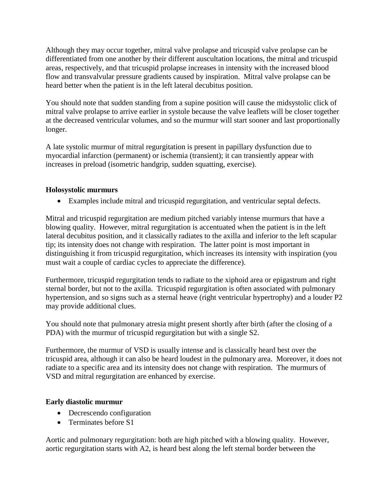Although they may occur together, mitral valve prolapse and tricuspid valve prolapse can be differentiated from one another by their different auscultation locations, the mitral and tricuspid areas, respectively, and that tricuspid prolapse increases in intensity with the increased blood flow and transvalvular pressure gradients caused by inspiration. Mitral valve prolapse can be heard better when the patient is in the left lateral decubitus position.

You should note that sudden standing from a supine position will cause the midsystolic click of mitral valve prolapse to arrive earlier in systole because the valve leaflets will be closer together at the decreased ventricular volumes, and so the murmur will start sooner and last proportionally longer.

A late systolic murmur of mitral regurgitation is present in papillary dysfunction due to myocardial infarction (permanent) or ischemia (transient); it can transiently appear with increases in preload (isometric handgrip, sudden squatting, exercise).

#### **Holosystolic murmurs**

Examples include mitral and tricuspid regurgitation, and ventricular septal defects.

Mitral and tricuspid regurgitation are medium pitched variably intense murmurs that have a blowing quality. However, mitral regurgitation is accentuated when the patient is in the left lateral decubitus position, and it classically radiates to the axilla and inferior to the left scapular tip; its intensity does not change with respiration. The latter point is most important in distinguishing it from tricuspid regurgitation, which increases its intensity with inspiration (you must wait a couple of cardiac cycles to appreciate the difference).

Furthermore, tricuspid regurgitation tends to radiate to the xiphoid area or epigastrum and right sternal border, but not to the axilla. Tricuspid regurgitation is often associated with pulmonary hypertension, and so signs such as a sternal heave (right ventricular hypertrophy) and a louder P2 may provide additional clues.

You should note that pulmonary atresia might present shortly after birth (after the closing of a PDA) with the murmur of tricuspid regurgitation but with a single S2.

Furthermore, the murmur of VSD is usually intense and is classically heard best over the tricuspid area, although it can also be heard loudest in the pulmonary area. Moreover, it does not radiate to a specific area and its intensity does not change with respiration. The murmurs of VSD and mitral regurgitation are enhanced by exercise.

#### **Early diastolic murmur**

- Decrescendo configuration
- Terminates before S1

Aortic and pulmonary regurgitation: both are high pitched with a blowing quality. However, aortic regurgitation starts with A2, is heard best along the left sternal border between the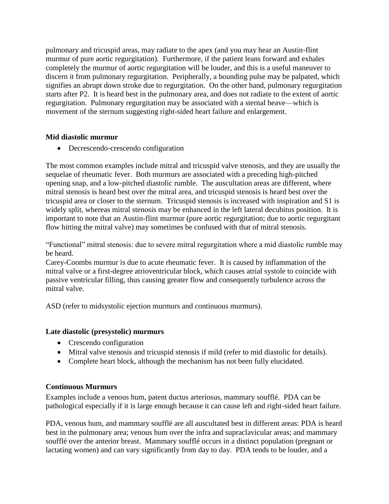pulmonary and tricuspid areas, may radiate to the apex (and you may hear an Austin-flint murmur of pure aortic regurgitation). Furthermore, if the patient leans forward and exhales completely the murmur of aortic regurgitation will be louder, and this is a useful maneuver to discern it from pulmonary regurgitation. Peripherally, a bounding pulse may be palpated, which signifies an abrupt down stroke due to regurgitation. On the other hand, pulmonary regurgitation starts after P2. It is heard best in the pulmonary area, and does not radiate to the extent of aortic regurgitation. Pulmonary regurgitation may be associated with a sternal heave—which is movement of the sternum suggesting right-sided heart failure and enlargement.

#### **Mid diastolic murmur**

Decrescendo-crescendo configuration

The most common examples include mitral and tricuspid valve stenosis, and they are usually the sequelae of rheumatic fever. Both murmurs are associated with a preceding high-pitched opening snap, and a low-pitched diastolic rumble. The auscultation areas are different, where mitral stenosis is heard best over the mitral area, and tricuspid stenosis is heard best over the tricuspid area or closer to the sternum. Tricuspid stenosis is increased with inspiration and S1 is widely split, whereas mitral stenosis may be enhanced in the left lateral decubitus position. It is important to note that an Austin-flint murmur (pure aortic regurgitation; due to aortic regurgitant flow hitting the mitral valve) may sometimes be confused with that of mitral stenosis.

"Functional" mitral stenosis: due to severe mitral regurgitation where a mid diastolic rumble may be heard.

Carey-Coombs murmur is due to acute rheumatic fever. It is caused by inflammation of the mitral valve or a first-degree atrioventricular block, which causes atrial systole to coincide with passive ventricular filling, thus causing greater flow and consequently turbulence across the mitral valve.

ASD (refer to midsystolic ejection murmurs and continuous murmurs).

#### **Late diastolic (presystolic) murmurs**

- Crescendo configuration
- Mitral valve stenosis and tricuspid stenosis if mild (refer to mid diastolic for details).
- Complete heart block, although the mechanism has not been fully elucidated.

#### **Continuous Murmurs**

Examples include a venous hum, patent ductus arteriosus, mammary soufflé. PDA can be pathological especially if it is large enough because it can cause left and right-sided heart failure.

PDA, venous hum, and mammary soufflé are all auscultated best in different areas: PDA is heard best in the pulmonary area; venous hum over the infra and supraclavicular areas; and mammary soufflé over the anterior breast. Mammary soufflé occurs in a distinct population (pregnant or lactating women) and can vary significantly from day to day. PDA tends to be louder, and a